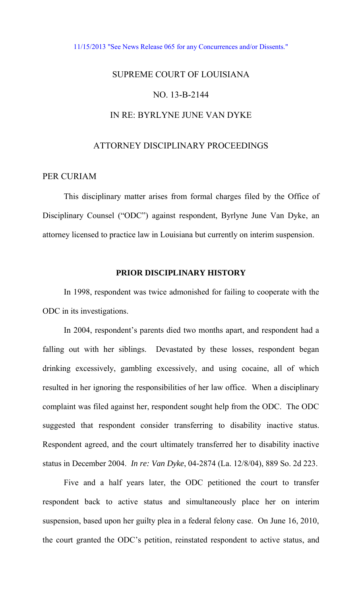#### [11/15/2013 "See News Release 065 for any Concurrences and/or Dissents."](http://www.lasc.org/Actions?p=2013-065)

# SUPREME COURT OF LOUISIANA NO. 13-B-2144 IN RE: BYRLYNE JUNE VAN DYKE

# ATTORNEY DISCIPLINARY PROCEEDINGS

# PER CURIAM

 This disciplinary matter arises from formal charges filed by the Office of Disciplinary Counsel ("ODC") against respondent, Byrlyne June Van Dyke, an attorney licensed to practice law in Louisiana but currently on interim suspension.

#### **PRIOR DISCIPLINARY HISTORY**

In 1998, respondent was twice admonished for failing to cooperate with the ODC in its investigations.

 In 2004, respondent's parents died two months apart, and respondent had a falling out with her siblings. Devastated by these losses, respondent began drinking excessively, gambling excessively, and using cocaine, all of which resulted in her ignoring the responsibilities of her law office. When a disciplinary complaint was filed against her, respondent sought help from the ODC. The ODC suggested that respondent consider transferring to disability inactive status. Respondent agreed, and the court ultimately transferred her to disability inactive status in December 2004. *In re: Van Dyke*, 04-2874 (La. 12/8/04), 889 So. 2d 223.

 Five and a half years later, the ODC petitioned the court to transfer respondent back to active status and simultaneously place her on interim suspension, based upon her guilty plea in a federal felony case. On June 16, 2010, the court granted the ODC's petition, reinstated respondent to active status, and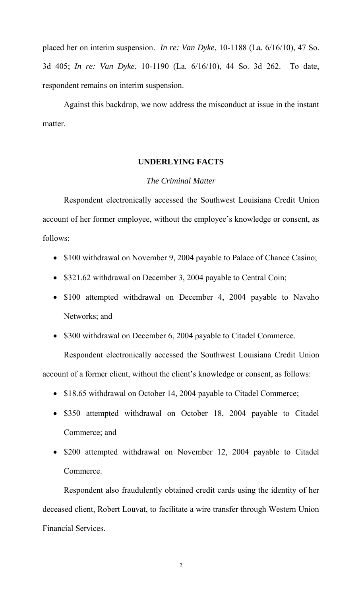placed her on interim suspension. *In re: Van Dyke*, 10-1188 (La. 6/16/10), 47 So. 3d 405; *In re: Van Dyke*, 10-1190 (La. 6/16/10), 44 So. 3d 262. To date, respondent remains on interim suspension.

 Against this backdrop, we now address the misconduct at issue in the instant matter.

# **UNDERLYING FACTS**

# *The Criminal Matter*

 Respondent electronically accessed the Southwest Louisiana Credit Union account of her former employee, without the employee's knowledge or consent, as follows:

- \$100 withdrawal on November 9, 2004 payable to Palace of Chance Casino;
- \$321.62 withdrawal on December 3, 2004 payable to Central Coin;
- \$100 attempted withdrawal on December 4, 2004 payable to Navaho Networks; and
- \$300 withdrawal on December 6, 2004 payable to Citadel Commerce.

 Respondent electronically accessed the Southwest Louisiana Credit Union account of a former client, without the client's knowledge or consent, as follows:

- \$18.65 withdrawal on October 14, 2004 payable to Citadel Commerce;
- \$350 attempted withdrawal on October 18, 2004 payable to Citadel Commerce; and
- \$200 attempted withdrawal on November 12, 2004 payable to Citadel Commerce.

Respondent also fraudulently obtained credit cards using the identity of her deceased client, Robert Louvat, to facilitate a wire transfer through Western Union Financial Services.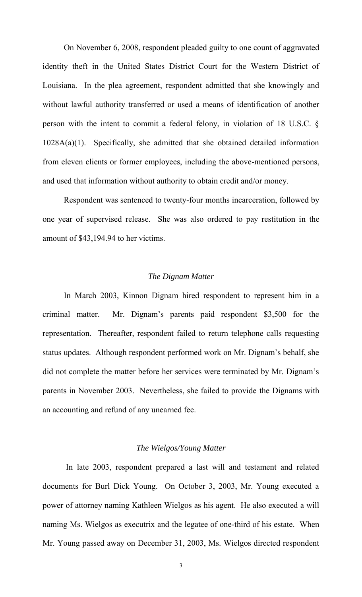On November 6, 2008, respondent pleaded guilty to one count of aggravated identity theft in the United States District Court for the Western District of Louisiana. In the plea agreement, respondent admitted that she knowingly and without lawful authority transferred or used a means of identification of another person with the intent to commit a federal felony, in violation of 18 U.S.C. § 1028A(a)(1). Specifically, she admitted that she obtained detailed information from eleven clients or former employees, including the above-mentioned persons, and used that information without authority to obtain credit and/or money.

Respondent was sentenced to twenty-four months incarceration, followed by one year of supervised release. She was also ordered to pay restitution in the amount of \$43,194.94 to her victims.

## *The Dignam Matter*

 In March 2003, Kinnon Dignam hired respondent to represent him in a criminal matter. Mr. Dignam's parents paid respondent \$3,500 for the representation. Thereafter, respondent failed to return telephone calls requesting status updates. Although respondent performed work on Mr. Dignam's behalf, she did not complete the matter before her services were terminated by Mr. Dignam's parents in November 2003. Nevertheless, she failed to provide the Dignams with an accounting and refund of any unearned fee.

#### *The Wielgos/Young Matter*

 In late 2003, respondent prepared a last will and testament and related documents for Burl Dick Young. On October 3, 2003, Mr. Young executed a power of attorney naming Kathleen Wielgos as his agent. He also executed a will naming Ms. Wielgos as executrix and the legatee of one-third of his estate. When Mr. Young passed away on December 31, 2003, Ms. Wielgos directed respondent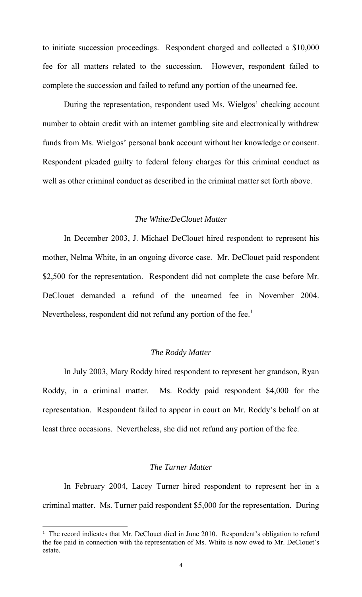to initiate succession proceedings. Respondent charged and collected a \$10,000 fee for all matters related to the succession. However, respondent failed to complete the succession and failed to refund any portion of the unearned fee.

 During the representation, respondent used Ms. Wielgos' checking account number to obtain credit with an internet gambling site and electronically withdrew funds from Ms. Wielgos' personal bank account without her knowledge or consent. Respondent pleaded guilty to federal felony charges for this criminal conduct as well as other criminal conduct as described in the criminal matter set forth above.

## *The White/DeClouet Matter*

 In December 2003, J. Michael DeClouet hired respondent to represent his mother, Nelma White, in an ongoing divorce case. Mr. DeClouet paid respondent \$2,500 for the representation. Respondent did not complete the case before Mr. DeClouet demanded a refund of the unearned fee in November 2004. Nevertheless, respondent did not refund any portion of the fee.<sup>1</sup>

#### *The Roddy Matter*

 In July 2003, Mary Roddy hired respondent to represent her grandson, Ryan Roddy, in a criminal matter. Ms. Roddy paid respondent \$4,000 for the representation. Respondent failed to appear in court on Mr. Roddy's behalf on at least three occasions. Nevertheless, she did not refund any portion of the fee.

# *The Turner Matter*

 In February 2004, Lacey Turner hired respondent to represent her in a criminal matter. Ms. Turner paid respondent \$5,000 for the representation. During

 $\overline{a}$ 

<sup>&</sup>lt;sup>1</sup> The record indicates that Mr. DeClouet died in June 2010. Respondent's obligation to refund the fee paid in connection with the representation of Ms. White is now owed to Mr. DeClouet's estate.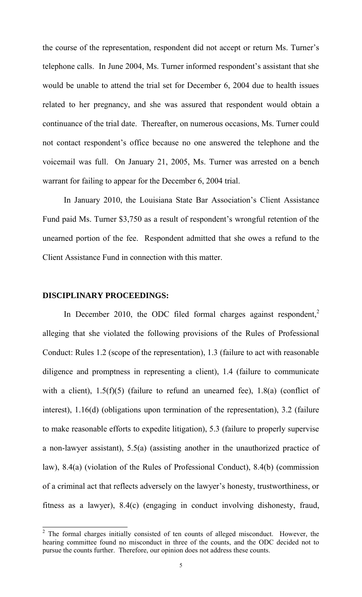the course of the representation, respondent did not accept or return Ms. Turner's telephone calls. In June 2004, Ms. Turner informed respondent's assistant that she would be unable to attend the trial set for December 6, 2004 due to health issues related to her pregnancy, and she was assured that respondent would obtain a continuance of the trial date. Thereafter, on numerous occasions, Ms. Turner could not contact respondent's office because no one answered the telephone and the voicemail was full. On January 21, 2005, Ms. Turner was arrested on a bench warrant for failing to appear for the December 6, 2004 trial.

 In January 2010, the Louisiana State Bar Association's Client Assistance Fund paid Ms. Turner \$3,750 as a result of respondent's wrongful retention of the unearned portion of the fee. Respondent admitted that she owes a refund to the Client Assistance Fund in connection with this matter.

## **DISCIPLINARY PROCEEDINGS:**

In December 2010, the ODC filed formal charges against respondent,<sup>2</sup> alleging that she violated the following provisions of the Rules of Professional Conduct: Rules 1.2 (scope of the representation), 1.3 (failure to act with reasonable diligence and promptness in representing a client), 1.4 (failure to communicate with a client),  $1.5(f)(5)$  (failure to refund an unearned fee),  $1.8(a)$  (conflict of interest), 1.16(d) (obligations upon termination of the representation), 3.2 (failure to make reasonable efforts to expedite litigation), 5.3 (failure to properly supervise a non-lawyer assistant), 5.5(a) (assisting another in the unauthorized practice of law), 8.4(a) (violation of the Rules of Professional Conduct), 8.4(b) (commission of a criminal act that reflects adversely on the lawyer's honesty, trustworthiness, or fitness as a lawyer), 8.4(c) (engaging in conduct involving dishonesty, fraud,

<sup>&</sup>lt;sup>2</sup> The formal charges initially consisted of ten counts of alleged misconduct. However, the hearing committee found no misconduct in three of the counts, and the ODC decided not to pursue the counts further. Therefore, our opinion does not address these counts.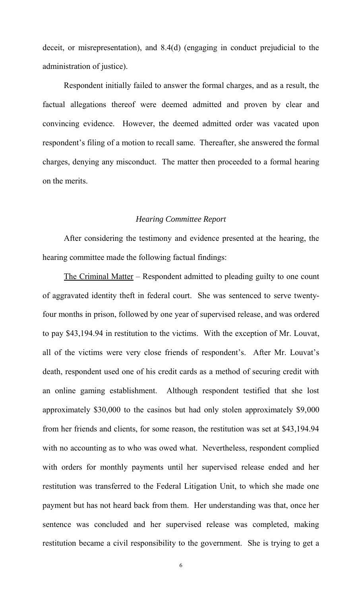deceit, or misrepresentation), and 8.4(d) (engaging in conduct prejudicial to the administration of justice).

 Respondent initially failed to answer the formal charges, and as a result, the factual allegations thereof were deemed admitted and proven by clear and convincing evidence. However, the deemed admitted order was vacated upon respondent's filing of a motion to recall same. Thereafter, she answered the formal charges, denying any misconduct. The matter then proceeded to a formal hearing on the merits.

#### *Hearing Committee Report*

 After considering the testimony and evidence presented at the hearing, the hearing committee made the following factual findings:

 The Criminal Matter – Respondent admitted to pleading guilty to one count of aggravated identity theft in federal court. She was sentenced to serve twentyfour months in prison, followed by one year of supervised release, and was ordered to pay \$43,194.94 in restitution to the victims. With the exception of Mr. Louvat, all of the victims were very close friends of respondent's. After Mr. Louvat's death, respondent used one of his credit cards as a method of securing credit with an online gaming establishment. Although respondent testified that she lost approximately \$30,000 to the casinos but had only stolen approximately \$9,000 from her friends and clients, for some reason, the restitution was set at \$43,194.94 with no accounting as to who was owed what. Nevertheless, respondent complied with orders for monthly payments until her supervised release ended and her restitution was transferred to the Federal Litigation Unit, to which she made one payment but has not heard back from them. Her understanding was that, once her sentence was concluded and her supervised release was completed, making restitution became a civil responsibility to the government. She is trying to get a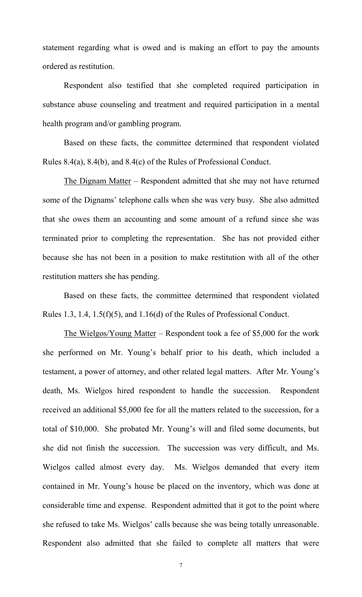statement regarding what is owed and is making an effort to pay the amounts ordered as restitution.

 Respondent also testified that she completed required participation in substance abuse counseling and treatment and required participation in a mental health program and/or gambling program.

 Based on these facts, the committee determined that respondent violated Rules 8.4(a), 8.4(b), and 8.4(c) of the Rules of Professional Conduct.

 The Dignam Matter – Respondent admitted that she may not have returned some of the Dignams' telephone calls when she was very busy. She also admitted that she owes them an accounting and some amount of a refund since she was terminated prior to completing the representation. She has not provided either because she has not been in a position to make restitution with all of the other restitution matters she has pending.

 Based on these facts, the committee determined that respondent violated Rules 1.3, 1.4, 1.5(f)(5), and 1.16(d) of the Rules of Professional Conduct.

 The Wielgos/Young Matter – Respondent took a fee of \$5,000 for the work she performed on Mr. Young's behalf prior to his death, which included a testament, a power of attorney, and other related legal matters. After Mr. Young's death, Ms. Wielgos hired respondent to handle the succession. Respondent received an additional \$5,000 fee for all the matters related to the succession, for a total of \$10,000. She probated Mr. Young's will and filed some documents, but she did not finish the succession. The succession was very difficult, and Ms. Wielgos called almost every day. Ms. Wielgos demanded that every item contained in Mr. Young's house be placed on the inventory, which was done at considerable time and expense. Respondent admitted that it got to the point where she refused to take Ms. Wielgos' calls because she was being totally unreasonable. Respondent also admitted that she failed to complete all matters that were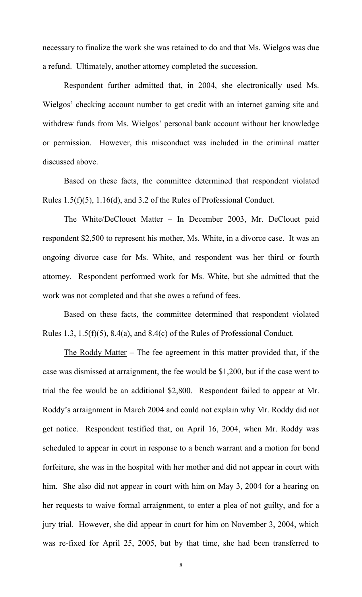necessary to finalize the work she was retained to do and that Ms. Wielgos was due a refund. Ultimately, another attorney completed the succession.

 Respondent further admitted that, in 2004, she electronically used Ms. Wielgos' checking account number to get credit with an internet gaming site and withdrew funds from Ms. Wielgos' personal bank account without her knowledge or permission. However, this misconduct was included in the criminal matter discussed above.

 Based on these facts, the committee determined that respondent violated Rules 1.5(f)(5), 1.16(d), and 3.2 of the Rules of Professional Conduct.

 The White/DeClouet Matter – In December 2003, Mr. DeClouet paid respondent \$2,500 to represent his mother, Ms. White, in a divorce case. It was an ongoing divorce case for Ms. White, and respondent was her third or fourth attorney. Respondent performed work for Ms. White, but she admitted that the work was not completed and that she owes a refund of fees.

Based on these facts, the committee determined that respondent violated Rules 1.3, 1.5(f)(5), 8.4(a), and 8.4(c) of the Rules of Professional Conduct.

 The Roddy Matter – The fee agreement in this matter provided that, if the case was dismissed at arraignment, the fee would be \$1,200, but if the case went to trial the fee would be an additional \$2,800. Respondent failed to appear at Mr. Roddy's arraignment in March 2004 and could not explain why Mr. Roddy did not get notice. Respondent testified that, on April 16, 2004, when Mr. Roddy was scheduled to appear in court in response to a bench warrant and a motion for bond forfeiture, she was in the hospital with her mother and did not appear in court with him. She also did not appear in court with him on May 3, 2004 for a hearing on her requests to waive formal arraignment, to enter a plea of not guilty, and for a jury trial. However, she did appear in court for him on November 3, 2004, which was re-fixed for April 25, 2005, but by that time, she had been transferred to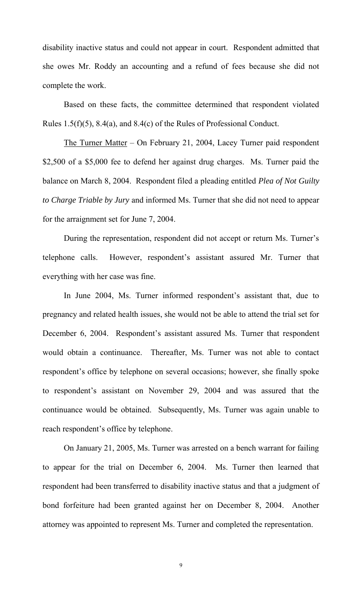disability inactive status and could not appear in court. Respondent admitted that she owes Mr. Roddy an accounting and a refund of fees because she did not complete the work.

 Based on these facts, the committee determined that respondent violated Rules 1.5(f)(5), 8.4(a), and 8.4(c) of the Rules of Professional Conduct.

 The Turner Matter – On February 21, 2004, Lacey Turner paid respondent \$2,500 of a \$5,000 fee to defend her against drug charges. Ms. Turner paid the balance on March 8, 2004. Respondent filed a pleading entitled *Plea of Not Guilty to Charge Triable by Jury* and informed Ms. Turner that she did not need to appear for the arraignment set for June 7, 2004.

 During the representation, respondent did not accept or return Ms. Turner's telephone calls. However, respondent's assistant assured Mr. Turner that everything with her case was fine.

 In June 2004, Ms. Turner informed respondent's assistant that, due to pregnancy and related health issues, she would not be able to attend the trial set for December 6, 2004. Respondent's assistant assured Ms. Turner that respondent would obtain a continuance. Thereafter, Ms. Turner was not able to contact respondent's office by telephone on several occasions; however, she finally spoke to respondent's assistant on November 29, 2004 and was assured that the continuance would be obtained. Subsequently, Ms. Turner was again unable to reach respondent's office by telephone.

 On January 21, 2005, Ms. Turner was arrested on a bench warrant for failing to appear for the trial on December 6, 2004. Ms. Turner then learned that respondent had been transferred to disability inactive status and that a judgment of bond forfeiture had been granted against her on December 8, 2004. Another attorney was appointed to represent Ms. Turner and completed the representation.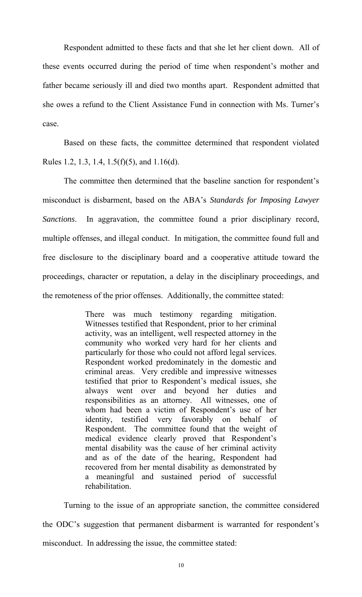Respondent admitted to these facts and that she let her client down. All of these events occurred during the period of time when respondent's mother and father became seriously ill and died two months apart. Respondent admitted that she owes a refund to the Client Assistance Fund in connection with Ms. Turner's case.

 Based on these facts, the committee determined that respondent violated Rules 1.2, 1.3, 1.4, 1.5(f)(5), and 1.16(d).

 The committee then determined that the baseline sanction for respondent's misconduct is disbarment, based on the ABA's *Standards for Imposing Lawyer Sanctions*. In aggravation, the committee found a prior disciplinary record, multiple offenses, and illegal conduct. In mitigation, the committee found full and free disclosure to the disciplinary board and a cooperative attitude toward the proceedings, character or reputation, a delay in the disciplinary proceedings, and the remoteness of the prior offenses. Additionally, the committee stated:

> There was much testimony regarding mitigation. Witnesses testified that Respondent, prior to her criminal activity, was an intelligent, well respected attorney in the community who worked very hard for her clients and particularly for those who could not afford legal services. Respondent worked predominately in the domestic and criminal areas. Very credible and impressive witnesses testified that prior to Respondent's medical issues, she always went over and beyond her duties and responsibilities as an attorney. All witnesses, one of whom had been a victim of Respondent's use of her identity, testified very favorably on behalf of Respondent. The committee found that the weight of medical evidence clearly proved that Respondent's mental disability was the cause of her criminal activity and as of the date of the hearing, Respondent had recovered from her mental disability as demonstrated by a meaningful and sustained period of successful rehabilitation.

 Turning to the issue of an appropriate sanction, the committee considered the ODC's suggestion that permanent disbarment is warranted for respondent's misconduct. In addressing the issue, the committee stated: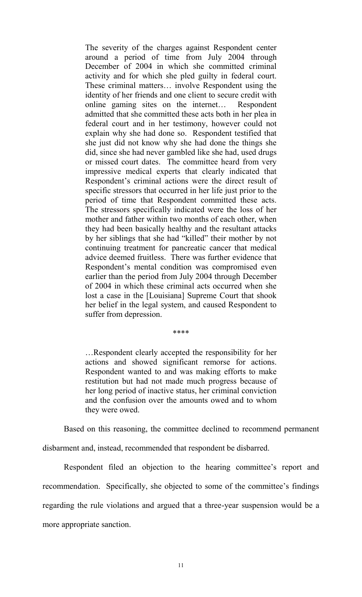The severity of the charges against Respondent center around a period of time from July 2004 through December of 2004 in which she committed criminal activity and for which she pled guilty in federal court. These criminal matters… involve Respondent using the identity of her friends and one client to secure credit with online gaming sites on the internet… Respondent admitted that she committed these acts both in her plea in federal court and in her testimony, however could not explain why she had done so. Respondent testified that she just did not know why she had done the things she did, since she had never gambled like she had, used drugs or missed court dates. The committee heard from very impressive medical experts that clearly indicated that Respondent's criminal actions were the direct result of specific stressors that occurred in her life just prior to the period of time that Respondent committed these acts. The stressors specifically indicated were the loss of her mother and father within two months of each other, when they had been basically healthy and the resultant attacks by her siblings that she had "killed" their mother by not continuing treatment for pancreatic cancer that medical advice deemed fruitless. There was further evidence that Respondent's mental condition was compromised even earlier than the period from July 2004 through December of 2004 in which these criminal acts occurred when she lost a case in the [Louisiana] Supreme Court that shook her belief in the legal system, and caused Respondent to suffer from depression.

\*\*\*\*

…Respondent clearly accepted the responsibility for her actions and showed significant remorse for actions. Respondent wanted to and was making efforts to make restitution but had not made much progress because of her long period of inactive status, her criminal conviction and the confusion over the amounts owed and to whom they were owed.

Based on this reasoning, the committee declined to recommend permanent

disbarment and, instead, recommended that respondent be disbarred.

 Respondent filed an objection to the hearing committee's report and recommendation. Specifically, she objected to some of the committee's findings regarding the rule violations and argued that a three-year suspension would be a more appropriate sanction.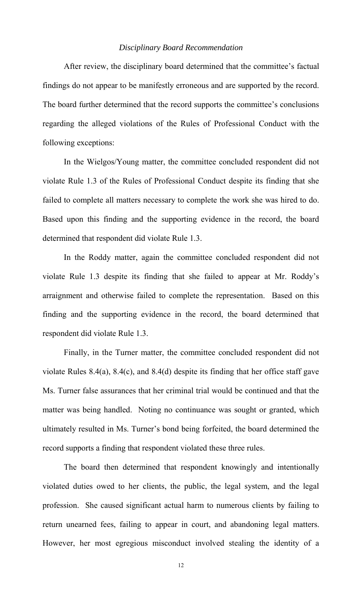## *Disciplinary Board Recommendation*

 After review, the disciplinary board determined that the committee's factual findings do not appear to be manifestly erroneous and are supported by the record. The board further determined that the record supports the committee's conclusions regarding the alleged violations of the Rules of Professional Conduct with the following exceptions:

 In the Wielgos/Young matter, the committee concluded respondent did not violate Rule 1.3 of the Rules of Professional Conduct despite its finding that she failed to complete all matters necessary to complete the work she was hired to do. Based upon this finding and the supporting evidence in the record, the board determined that respondent did violate Rule 1.3.

 In the Roddy matter, again the committee concluded respondent did not violate Rule 1.3 despite its finding that she failed to appear at Mr. Roddy's arraignment and otherwise failed to complete the representation. Based on this finding and the supporting evidence in the record, the board determined that respondent did violate Rule 1.3.

 Finally, in the Turner matter, the committee concluded respondent did not violate Rules 8.4(a), 8.4(c), and 8.4(d) despite its finding that her office staff gave Ms. Turner false assurances that her criminal trial would be continued and that the matter was being handled. Noting no continuance was sought or granted, which ultimately resulted in Ms. Turner's bond being forfeited, the board determined the record supports a finding that respondent violated these three rules.

 The board then determined that respondent knowingly and intentionally violated duties owed to her clients, the public, the legal system, and the legal profession. She caused significant actual harm to numerous clients by failing to return unearned fees, failing to appear in court, and abandoning legal matters. However, her most egregious misconduct involved stealing the identity of a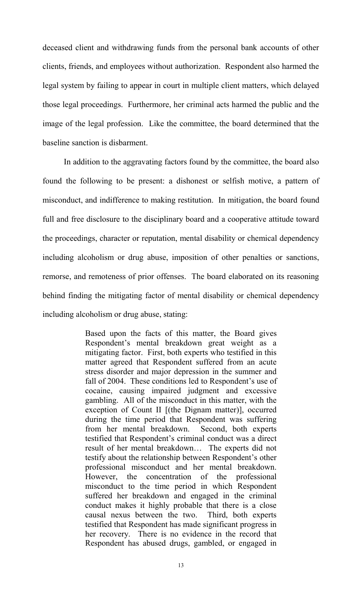deceased client and withdrawing funds from the personal bank accounts of other clients, friends, and employees without authorization. Respondent also harmed the legal system by failing to appear in court in multiple client matters, which delayed those legal proceedings. Furthermore, her criminal acts harmed the public and the image of the legal profession. Like the committee, the board determined that the baseline sanction is disbarment.

 In addition to the aggravating factors found by the committee, the board also found the following to be present: a dishonest or selfish motive, a pattern of misconduct, and indifference to making restitution. In mitigation, the board found full and free disclosure to the disciplinary board and a cooperative attitude toward the proceedings, character or reputation, mental disability or chemical dependency including alcoholism or drug abuse, imposition of other penalties or sanctions, remorse, and remoteness of prior offenses. The board elaborated on its reasoning behind finding the mitigating factor of mental disability or chemical dependency including alcoholism or drug abuse, stating:

> Based upon the facts of this matter, the Board gives Respondent's mental breakdown great weight as a mitigating factor. First, both experts who testified in this matter agreed that Respondent suffered from an acute stress disorder and major depression in the summer and fall of 2004. These conditions led to Respondent's use of cocaine, causing impaired judgment and excessive gambling. All of the misconduct in this matter, with the exception of Count II [(the Dignam matter)], occurred during the time period that Respondent was suffering from her mental breakdown. Second, both experts testified that Respondent's criminal conduct was a direct result of her mental breakdown… The experts did not testify about the relationship between Respondent's other professional misconduct and her mental breakdown. However, the concentration of the professional misconduct to the time period in which Respondent suffered her breakdown and engaged in the criminal conduct makes it highly probable that there is a close causal nexus between the two. Third, both experts testified that Respondent has made significant progress in her recovery. There is no evidence in the record that Respondent has abused drugs, gambled, or engaged in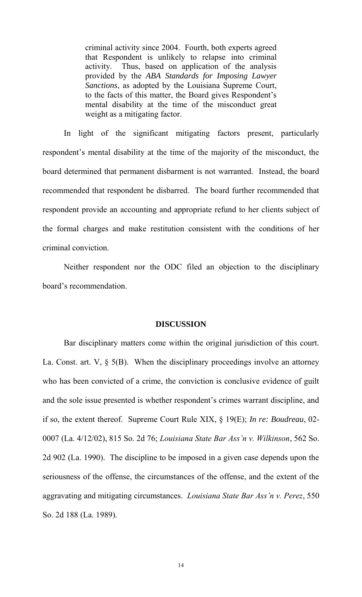criminal activity since 2004. Fourth, both experts agreed that Respondent is unlikely to relapse into criminal activity. Thus, based on application of the analysis provided by the *ABA Standards for Imposing Lawyer Sanctions*, as adopted by the Louisiana Supreme Court, to the facts of this matter, the Board gives Respondent's mental disability at the time of the misconduct great weight as a mitigating factor.

 In light of the significant mitigating factors present, particularly respondent's mental disability at the time of the majority of the misconduct, the board determined that permanent disbarment is not warranted. Instead, the board recommended that respondent be disbarred. The board further recommended that respondent provide an accounting and appropriate refund to her clients subject of the formal charges and make restitution consistent with the conditions of her criminal conviction.

 Neither respondent nor the ODC filed an objection to the disciplinary board's recommendation.

## **DISCUSSION**

 Bar disciplinary matters come within the original jurisdiction of this court. La. Const. art. V, § 5(B). When the disciplinary proceedings involve an attorney who has been convicted of a crime, the conviction is conclusive evidence of guilt and the sole issue presented is whether respondent's crimes warrant discipline, and if so, the extent thereof. Supreme Court Rule XIX, § 19(E); *In re: Boudreau*, 02- 0007 (La. 4/12/02), 815 So. 2d 76; *Louisiana State Bar Ass'n v. Wilkinson*, 562 So. 2d 902 (La. 1990). The discipline to be imposed in a given case depends upon the seriousness of the offense, the circumstances of the offense, and the extent of the aggravating and mitigating circumstances. *Louisiana State Bar Ass'n v. Perez*, 550 So. 2d 188 (La. 1989).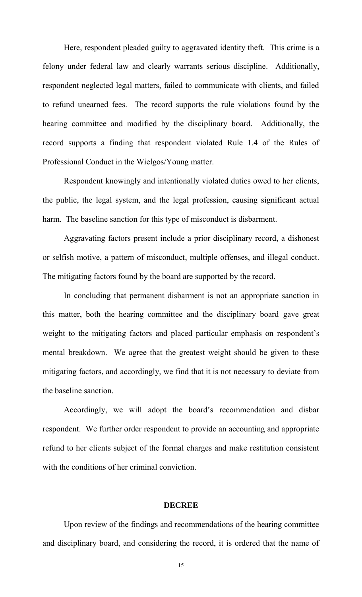Here, respondent pleaded guilty to aggravated identity theft. This crime is a felony under federal law and clearly warrants serious discipline. Additionally, respondent neglected legal matters, failed to communicate with clients, and failed to refund unearned fees. The record supports the rule violations found by the hearing committee and modified by the disciplinary board. Additionally, the record supports a finding that respondent violated Rule 1.4 of the Rules of Professional Conduct in the Wielgos/Young matter.

 Respondent knowingly and intentionally violated duties owed to her clients, the public, the legal system, and the legal profession, causing significant actual harm. The baseline sanction for this type of misconduct is disbarment.

 Aggravating factors present include a prior disciplinary record, a dishonest or selfish motive, a pattern of misconduct, multiple offenses, and illegal conduct. The mitigating factors found by the board are supported by the record.

 In concluding that permanent disbarment is not an appropriate sanction in this matter, both the hearing committee and the disciplinary board gave great weight to the mitigating factors and placed particular emphasis on respondent's mental breakdown. We agree that the greatest weight should be given to these mitigating factors, and accordingly, we find that it is not necessary to deviate from the baseline sanction.

Accordingly, we will adopt the board's recommendation and disbar respondent. We further order respondent to provide an accounting and appropriate refund to her clients subject of the formal charges and make restitution consistent with the conditions of her criminal conviction.

#### **DECREE**

 Upon review of the findings and recommendations of the hearing committee and disciplinary board, and considering the record, it is ordered that the name of